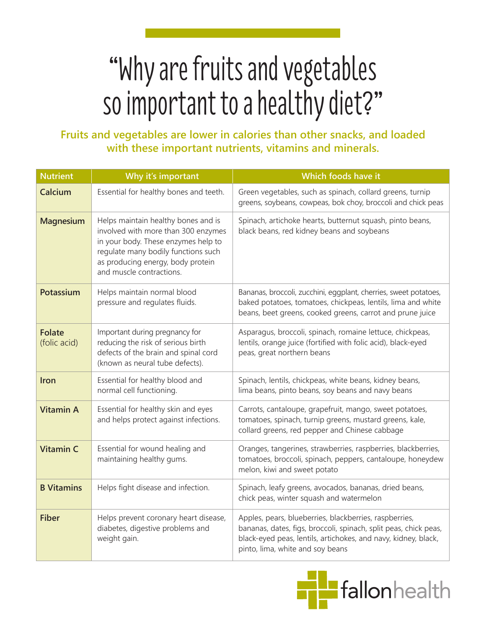## "Why are fruits and vegetables so important to a healthy diet?"

## **Fruits and vegetables are lower in calories than other snacks, and loaded with these important nutrients, vitamins and minerals.**

| <b>Nutrient</b>               | Why it's important                                                                                                                                                                                                        | Which foods have it                                                                                                                                                                                                              |
|-------------------------------|---------------------------------------------------------------------------------------------------------------------------------------------------------------------------------------------------------------------------|----------------------------------------------------------------------------------------------------------------------------------------------------------------------------------------------------------------------------------|
| Calcium                       | Essential for healthy bones and teeth.                                                                                                                                                                                    | Green vegetables, such as spinach, collard greens, turnip<br>greens, soybeans, cowpeas, bok choy, broccoli and chick peas                                                                                                        |
| <b>Magnesium</b>              | Helps maintain healthy bones and is<br>involved with more than 300 enzymes<br>in your body. These enzymes help to<br>regulate many bodily functions such<br>as producing energy, body protein<br>and muscle contractions. | Spinach, artichoke hearts, butternut squash, pinto beans,<br>black beans, red kidney beans and soybeans                                                                                                                          |
| Potassium                     | Helps maintain normal blood<br>pressure and regulates fluids.                                                                                                                                                             | Bananas, broccoli, zucchini, eggplant, cherries, sweet potatoes,<br>baked potatoes, tomatoes, chickpeas, lentils, lima and white<br>beans, beet greens, cooked greens, carrot and prune juice                                    |
| <b>Folate</b><br>(folic acid) | Important during pregnancy for<br>reducing the risk of serious birth<br>defects of the brain and spinal cord<br>(known as neural tube defects).                                                                           | Asparagus, broccoli, spinach, romaine lettuce, chickpeas,<br>lentils, orange juice (fortified with folic acid), black-eyed<br>peas, great northern beans                                                                         |
| Iron                          | Essential for healthy blood and<br>normal cell functioning.                                                                                                                                                               | Spinach, lentils, chickpeas, white beans, kidney beans,<br>lima beans, pinto beans, soy beans and navy beans                                                                                                                     |
| <b>Vitamin A</b>              | Essential for healthy skin and eyes<br>and helps protect against infections.                                                                                                                                              | Carrots, cantaloupe, grapefruit, mango, sweet potatoes,<br>tomatoes, spinach, turnip greens, mustard greens, kale,<br>collard greens, red pepper and Chinese cabbage                                                             |
| <b>Vitamin C</b>              | Essential for wound healing and<br>maintaining healthy gums.                                                                                                                                                              | Oranges, tangerines, strawberries, raspberries, blackberries,<br>tomatoes, broccoli, spinach, peppers, cantaloupe, honeydew<br>melon, kiwi and sweet potato                                                                      |
| <b>B</b> Vitamins             | Helps fight disease and infection.                                                                                                                                                                                        | Spinach, leafy greens, avocados, bananas, dried beans,<br>chick peas, winter squash and watermelon                                                                                                                               |
| <b>Fiber</b>                  | Helps prevent coronary heart disease,<br>diabetes, digestive problems and<br>weight gain.                                                                                                                                 | Apples, pears, blueberries, blackberries, raspberries,<br>bananas, dates, figs, broccoli, spinach, split peas, chick peas,<br>black-eyed peas, lentils, artichokes, and navy, kidney, black,<br>pinto, lima, white and soy beans |